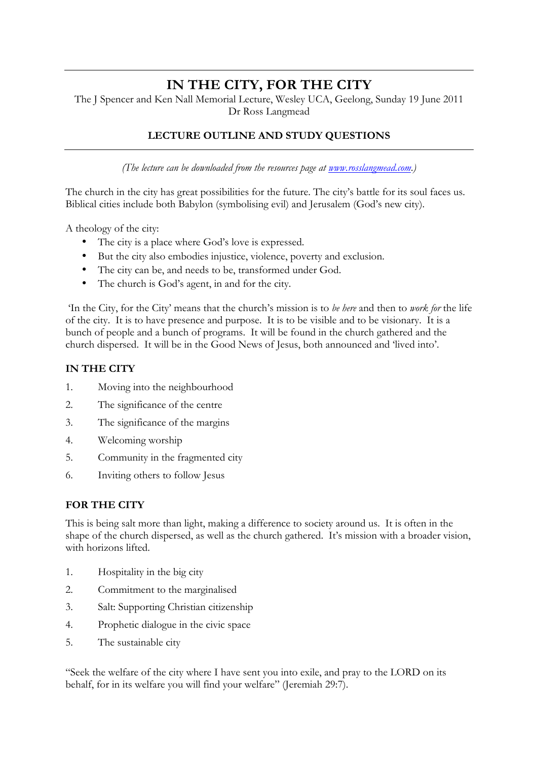# **IN THE CITY, FOR THE CITY**

The J Spencer and Ken Nall Memorial Lecture, Wesley UCA, Geelong, Sunday 19 June 2011 Dr Ross Langmead

## **LECTURE OUTLINE AND STUDY QUESTIONS**

*(The lecture can be downloaded from the resources page at www.rosslangmead.com.)*

The church in the city has great possibilities for the future. The city's battle for its soul faces us. Biblical cities include both Babylon (symbolising evil) and Jerusalem (God's new city).

A theology of the city:

- The city is a place where God's love is expressed.
- But the city also embodies injustice, violence, poverty and exclusion.
- The city can be, and needs to be, transformed under God.
- The church is God's agent, in and for the city.

'In the City, for the City' means that the church's mission is to *be here* and then to *work for* the life of the city. It is to have presence and purpose. It is to be visible and to be visionary. It is a bunch of people and a bunch of programs. It will be found in the church gathered and the church dispersed. It will be in the Good News of Jesus, both announced and 'lived into'.

#### **IN THE CITY**

- 1. Moving into the neighbourhood
- 2. The significance of the centre
- 3. The significance of the margins
- 4. Welcoming worship
- 5. Community in the fragmented city
- 6. Inviting others to follow Jesus

## **FOR THE CITY**

This is being salt more than light, making a difference to society around us. It is often in the shape of the church dispersed, as well as the church gathered. It's mission with a broader vision, with horizons lifted.

- 1. Hospitality in the big city
- 2. Commitment to the marginalised
- 3. Salt: Supporting Christian citizenship
- 4. Prophetic dialogue in the civic space
- 5. The sustainable city

"Seek the welfare of the city where I have sent you into exile, and pray to the LORD on its behalf, for in its welfare you will find your welfare" (Jeremiah 29:7).